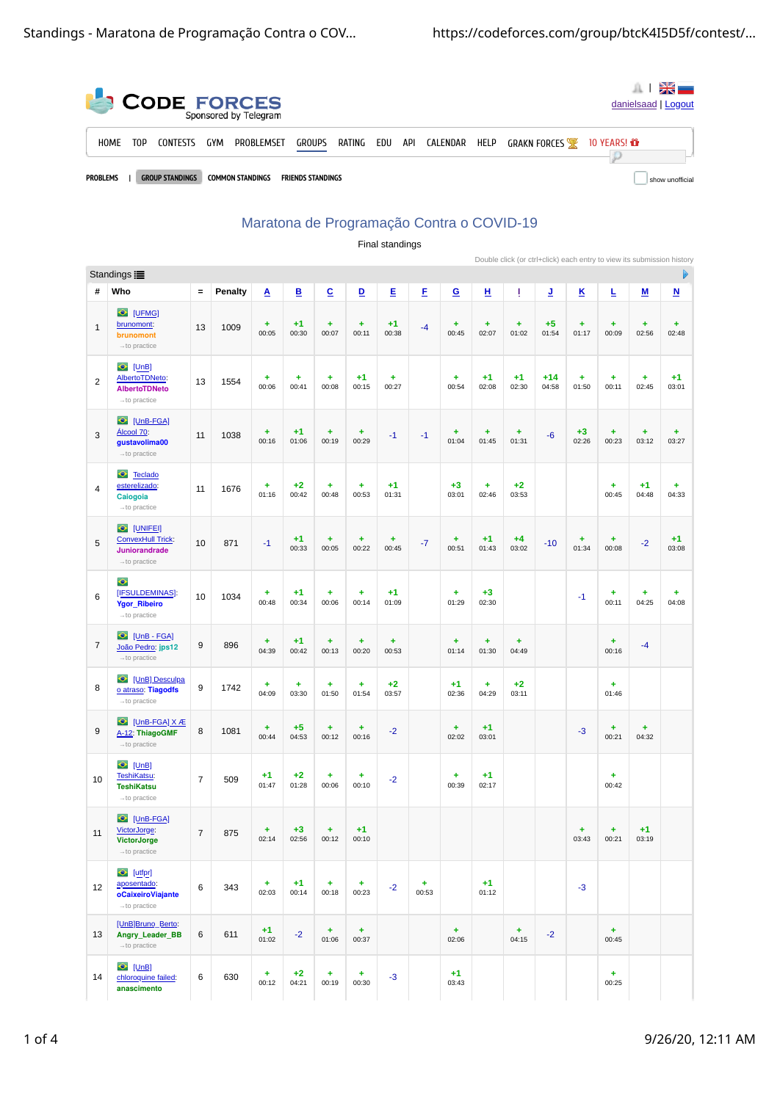| <b>CODE FORCES</b><br>danielsaad   Logout<br>Sponsored by Telegram |                                                                                                  |     |                 |     |            |               |        |     |     |          |      |                     |                     |                 |
|--------------------------------------------------------------------|--------------------------------------------------------------------------------------------------|-----|-----------------|-----|------------|---------------|--------|-----|-----|----------|------|---------------------|---------------------|-----------------|
|                                                                    | H <sub>0</sub> ME                                                                                | T0P | <b>CONTESTS</b> | GYM | PROBLEMSET | <b>GROUPS</b> | RATING | EDU | API | CALENDAR | HELP | <b>GRAKN FORCES</b> | 10 YEARS! <b>if</b> |                 |
|                                                                    | <b>PROBLEMS</b><br><b>GROUP STANDINGS</b><br><b>COMMON STANDINGS</b><br><b>FRIENDS STANDINGS</b> |     |                 |     |            |               |        |     |     |          |      |                     |                     | show unofficial |

## Maratona de Programação Contra o COVID-19 Final standings

|                |                                                                                             |                |         |                    |                          |                    |                    |                    |            |                    |                    |               |                | Double click (or ctrl+click) each entry to view its submission history |                    |                    |                          |
|----------------|---------------------------------------------------------------------------------------------|----------------|---------|--------------------|--------------------------|--------------------|--------------------|--------------------|------------|--------------------|--------------------|---------------|----------------|------------------------------------------------------------------------|--------------------|--------------------|--------------------------|
|                | Standings :                                                                                 |                |         |                    |                          |                    | D                  |                    |            |                    |                    |               |                |                                                                        |                    |                    |                          |
| #              | Who                                                                                         | $\equiv$       | Penalty | A                  | $\underline{\mathsf{B}}$ | $\overline{c}$     | ⊵                  | Ε                  | E          | $\mathbf{G}$       | 쁘                  | Ţ             | ₫              | ĸ                                                                      | Ŀ                  | <u>м</u>           | $\underline{\mathsf{N}}$ |
| $1\,$          | UFMG]<br>brunomont:<br>brunomont<br>$\rightarrow$ to practice                               | 13             | 1009    | ÷<br>00:05         | $+1$<br>00:30            | $\ddot{}$<br>00:07 | $\ddot{}$<br>00:11 | $+1$<br>00:38      | $-4$       | $\ddot{}$<br>00:45 | $\ddot{}$<br>02:07 | ÷<br>01:02    | $+5$<br>01:54  | $\ddot{}$<br>01:17                                                     | $\ddot{}$<br>00:09 | $\ddot{}$<br>02:56 | $\ddot{}$<br>02:48       |
| $\overline{c}$ | $\bullet$ [UnB]<br>AlbertoTDNeto:<br><b>AlbertoTDNeto</b><br>$\rightarrow$ to practice      | 13             | 1554    | ÷<br>00:06         | ÷<br>00:41               | $\ddot{}$<br>00:08 | $+1$<br>00:15      | $\ddot{}$<br>00:27 |            | $\ddot{}$<br>00:54 | $+1$<br>02:08      | $+1$<br>02:30 | $+14$<br>04:58 | ÷<br>01:50                                                             | $\ddot{}$<br>00:11 | ÷<br>02:45         | $+1$<br>03:01            |
| 3              | C [UnB-FGA]<br>Álcool 70:<br>gustavolima00<br>$\rightarrow$ to practice                     | 11             | 1038    | ÷<br>00:16         | $+1$<br>01:06            | ÷<br>00:19         | $\ddot{}$<br>00:29 | $-1$               | $-1$       | ÷<br>01:04         | $\ddot{}$<br>01:45 | ÷<br>01:31    | $-6$           | $+3$<br>02:26                                                          | $\ddot{}$<br>00:23 | $\ddot{}$<br>03:12 | ÷<br>03:27               |
| 4              | C Teclado<br>esterelizado:<br>Caiogoia<br>$\rightarrow$ to practice                         | 11             | 1676    | ÷<br>01:16         | $+2$<br>00:42            | ÷<br>00:48         | ÷<br>00:53         | $+1$<br>01:31      |            | $+3$<br>03:01      | ٠<br>02:46         | $+2$<br>03:53 |                |                                                                        | ٠<br>00:45         | $+1$<br>04:48      | ٠<br>04:33               |
| 5              | O [UNIFEI]<br><b>ConvexHull Trick:</b><br>Juniorandrade<br>$\rightarrow$ to practice        | 10             | 871     | $-1$               | $+1$<br>00:33            | ÷<br>00:05         | ÷<br>00:22         | ÷<br>00:45         | $-7$       | ÷<br>00:51         | $+1$<br>01:43      | $+4$<br>03:02 | $-10$          | ÷<br>01:34                                                             | ÷<br>00:08         | $-2$               | $+1$<br>03:08            |
| 6              | $\bullet$<br>[IFSULDEMINAS]:<br><b>Ygor_Ribeiro</b><br>$\rightarrow$ to practice            | 10             | 1034    | $\ddot{}$<br>00:48 | $+1$<br>00:34            | ÷<br>00:06         | $\ddot{}$<br>00:14 | $+1$<br>01:09      |            | $\ddot{}$<br>01:29 | $+3$<br>02:30      |               |                | $-1$                                                                   | ٠<br>00:11         | ٠<br>04:25         | $\ddot{}$<br>04:08       |
| $\overline{7}$ | UnB - FGA]<br>João Pedro: jps12<br>$\rightarrow$ to practice                                | 9              | 896     | ÷<br>04:39         | $+1$<br>00:42            | ÷<br>00:13         | $\ddot{}$<br>00:20 | ÷<br>00:53         |            | ÷<br>01:14         | $\ddot{}$<br>01:30 | ÷<br>04:49    |                |                                                                        | ÷<br>00:16         | $-4$               |                          |
| 8              | <b>C</b> [UnB] Desculpa<br>o atraso: Tiagodfs<br>$\rightarrow$ to practice                  | 9              | 1742    | ÷<br>04:09         | ÷<br>03:30               | ÷<br>01:50         | ÷<br>01:54         | $+2$<br>03:57      |            | $+1$<br>02:36      | $\ddot{}$<br>04:29 | $+2$<br>03:11 |                |                                                                        | ÷<br>01:46         |                    |                          |
| 9              | C [UnB-FGA] X Æ<br>A-12: ThiagoGMF<br>$\rightarrow$ to practice                             | 8              | 1081    | ÷<br>00:44         | $+5$<br>04:53            | ÷<br>00:12         | ÷<br>00:16         | $-2$               |            | ÷<br>02:02         | $+1$<br>03:01      |               |                | $-3$                                                                   | ÷<br>00:21         | ÷<br>04:32         |                          |
| 10             | $\bullet$ [UnB]<br>TeshiKatsu:<br><b>TeshiKatsu</b><br>$\rightarrow$ to practice            | $\overline{7}$ | 509     | $+1$<br>01:47      | $+2$<br>01:28            | ÷<br>00:06         | ÷<br>00:10         | $-2$               |            | ÷<br>00:39         | $+1$<br>02:17      |               |                |                                                                        | ÷<br>00:42         |                    |                          |
| 11             | $\bullet$<br>$[UnB-FGA]$<br>VictorJorge:<br><b>VictorJorge</b><br>$\rightarrow$ to practice | $\sqrt{ }$     | 875     | ÷<br>02:14         | $+3$<br>02:56            | ÷<br>00:12         | $+1$<br>00:10      |                    |            |                    |                    |               |                | ÷<br>03:43                                                             | ÷<br>00:21         | $+1$<br>03:19      |                          |
| 12             | $\bullet$ [utfpr]<br>aposentado:<br>oCaixeiroViajante<br>$\rightarrow$ to practice          | 6              | 343     | ÷<br>02:03         | $+1$<br>00:14            | ÷<br>00:18         | ÷.<br>00:23        | $-2$               | ÷<br>00:53 |                    | $+1$<br>01:12      |               |                | $-3$                                                                   |                    |                    |                          |
| 13             | [UnB]Bruno_Berto:<br>Angry_Leader_BB<br>$\rightarrow$ to practice                           | 6              | 611     | $+1$<br>01:02      | $-2$                     | ÷<br>01:06         | $+$<br>00:37       |                    |            | ÷<br>02:06         |                    | ÷.<br>04:15   | $-2$           |                                                                        | $+$<br>00:45       |                    |                          |
| 14             | $\bullet$ [UnB]<br>chloroquine failed:<br>anascimento                                       | 6              | 630     | ÷<br>00:12         | $+2$<br>04:21            | ÷<br>00:19         | ÷<br>00:30         | $-3$               |            | $+1$<br>03:43      |                    |               |                |                                                                        | $+$<br>00:25       |                    |                          |

1 of 4 9/26/20, 12:11 AM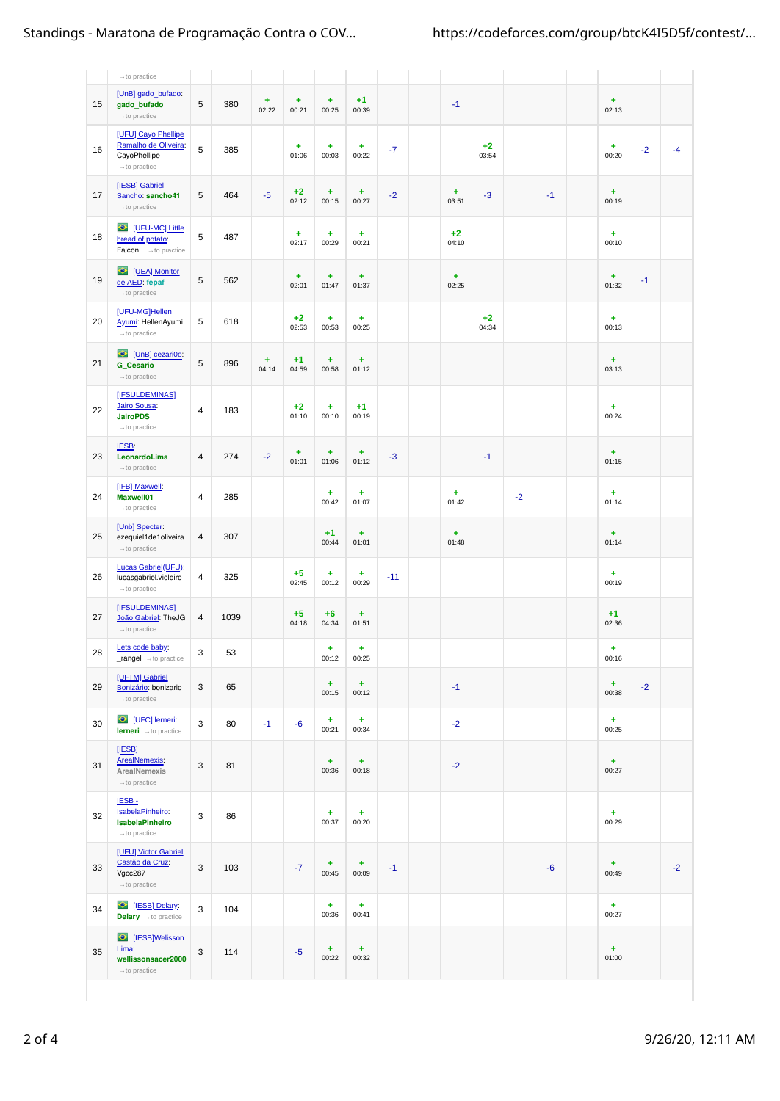|    | $\rightarrow$ to practice                                                                     |                |      |            |                    |                    |                    |       |                    |               |      |      |                    |      |      |
|----|-----------------------------------------------------------------------------------------------|----------------|------|------------|--------------------|--------------------|--------------------|-------|--------------------|---------------|------|------|--------------------|------|------|
| 15 | [UnB] gado_bufado:<br>gado_bufado<br>$\rightarrow$ to practice                                | 5              | 380  | ÷<br>02:22 | ÷<br>00:21         | ÷<br>00:25         | $+1$<br>00:39      |       | $-1$               |               |      |      | ÷<br>02:13         |      |      |
| 16 | [UFU] Cayo Phellipe<br>Ramalho de Oliveira:<br>CayoPhellipe<br>$\rightarrow$ to practice      | 5              | 385  |            | ÷<br>01:06         | ÷<br>00:03         | ÷<br>00:22         | $-7$  |                    | $+2$<br>03:54 |      |      | ÷<br>00:20         | $-2$ | $-4$ |
| 17 | [IESB] Gabriel<br>Sancho: sancho41<br>$\rightarrow$ to practice                               | 5              | 464  | $-5$       | $+2$<br>02:12      | ÷<br>00:15         | ÷<br>00:27         | $-2$  | ÷<br>03:51         | $-3$          |      | $-1$ | $\ddot{}$<br>00:19 |      |      |
| 18 | C [UFU-MC] Little<br>bread of potato:<br>$\textsf{FalconL}\ \rightarrow \textsf{to practice}$ | 5              | 487  |            | ÷<br>02:17         | ÷<br>00:29         | $\ddot{}$<br>00:21 |       | $+2$<br>04:10      |               |      |      | ÷<br>00:10         |      |      |
| 19 | UEA] Monitor<br>de AED: fepaf<br>$\rightarrow$ to practice                                    | 5              | 562  |            | $\ddot{}$<br>02:01 | $\ddot{}$<br>01:47 | $\ddot{}$<br>01:37 |       | $\ddot{}$<br>02:25 |               |      |      | $\ddot{}$<br>01:32 | $-1$ |      |
| 20 | [UFU-MG]Hellen<br>Ayumi: HellenAyumi<br>$\rightarrow$ to practice                             | 5              | 618  |            | $+2$<br>02:53      | $\ddot{}$<br>00:53 | $\ddot{}$<br>00:25 |       |                    | $+2$<br>04:34 |      |      | ÷<br>00:13         |      |      |
| 21 | C [UnB] cezari0o:<br><b>G_Cesario</b><br>$\rightarrow$ to practice                            | 5              | 896  | ÷<br>04:14 | $+1$<br>04:59      | ÷<br>00:58         | ÷<br>01:12         |       |                    |               |      |      | ÷<br>03:13         |      |      |
| 22 | [IFSULDEMINAS]<br><b>Jairo Sousa:</b><br><b>JairoPDS</b><br>$\rightarrow$ to practice         | $\overline{4}$ | 183  |            | $+2$<br>01:10      | ÷<br>00:10         | $+1$<br>00:19      |       |                    |               |      |      | ÷<br>00:24         |      |      |
| 23 | IESB:<br>LeonardoLima<br>$\rightarrow$ to practice                                            | 4              | 274  | $-2$       | ÷<br>01:01         | ÷<br>01:06         | ÷<br>01:12         | $-3$  |                    | $-1$          |      |      | $\ddot{}$<br>01:15 |      |      |
| 24 | [IFB] Maxwell:<br><b>Maxwell01</b><br>$\rightarrow$ to practice                               | 4              | 285  |            |                    | ÷<br>00:42         | $\ddot{}$<br>01:07 |       | $\ddot{}$<br>01:42 |               | $-2$ |      | ÷<br>01:14         |      |      |
| 25 | [Unb] Specter:<br>ezequiel1de1oliveira<br>$\rightarrow$ to practice                           | 4              | 307  |            |                    | $+1$<br>00:44      | ÷<br>01:01         |       | $\ddot{}$<br>01:48 |               |      |      | ÷<br>01:14         |      |      |
| 26 | Lucas Gabriel(UFU):<br>lucasgabriel.violeiro<br>$\rightarrow$ to practice                     | 4              | 325  |            | $+5$<br>02:45      | ÷<br>00:12         | ÷<br>00:29         | $-11$ |                    |               |      |      | ÷<br>00:19         |      |      |
| 27 | [IFSULDEMINAS]<br>João Gabriel: TheJG<br>$\rightarrow$ to practice                            | 4              | 1039 |            | $+5$<br>04:18      | $+6$<br>04:34      | ÷<br>01:51         |       |                    |               |      |      | $+1$<br>02:36      |      |      |
| 28 | Lets code baby:<br>rangel -to practice                                                        | 3              | 53   |            |                    | ÷<br>00:12         | ۰<br>00:25         |       |                    |               |      |      | ٠<br>00:16         |      |      |
| 29 | [UFTM] Gabriel<br>Bonizário: bonizario<br>$\rightarrow$ to practice                           | 3              | 65   |            |                    | ÷<br>00:15         | ÷<br>00:12         |       | $-1$               |               |      |      | ÷<br>00:38         | $-2$ |      |
| 30 | O [UFC] lerneri:<br><b>lerneri</b> - to practice                                              | 3              | 80   | $-1$       | $-6$               | ÷<br>00:21         | Ŧ,<br>00:34        |       | $-2$               |               |      |      | ÷<br>00:25         |      |      |
| 31 | [IESB]<br><b>ArealNemexis:</b><br>ArealNemexis<br>$\rightarrow$ to practice                   | 3              | 81   |            |                    | Ŧ,<br>00:36        | ÷<br>00:18         |       | $-2$               |               |      |      | $\ddot{}$<br>00:27 |      |      |
| 32 | IESB-<br>IsabelaPinheiro:<br><b>IsabelaPinheiro</b><br>$\rightarrow$ to practice              | 3              | 86   |            |                    | ÷<br>00:37         | $\ddot{}$<br>00:20 |       |                    |               |      |      | $\ddot{}$<br>00:29 |      |      |
| 33 | [UFU] Victor Gabriel<br>Castão da Cruz:<br>Vgcc287<br>$\rightarrow$ to practice               | 3              | 103  |            | $-7$               | ÷<br>00:45         | ÷<br>00:09         | $-1$  |                    |               |      | $-6$ | $\ddot{}$<br>00:49 |      | $-2$ |
| 34 | <sup>O</sup> [IESB] Delary:<br>Delary - to practice                                           | 3              | 104  |            |                    | ÷<br>00:36         | $\ddot{}$<br>00:41 |       |                    |               |      |      | $+$<br>00:27       |      |      |
| 35 | <b>O</b> [IESB]Welisson<br>Lima:<br>wellissonsacer2000<br>$\rightarrow$ to practice           | 3              | 114  |            | $-5$               | ÷<br>00:22         | ÷<br>00:32         |       |                    |               |      |      | $\ddot{}$<br>01:00 |      |      |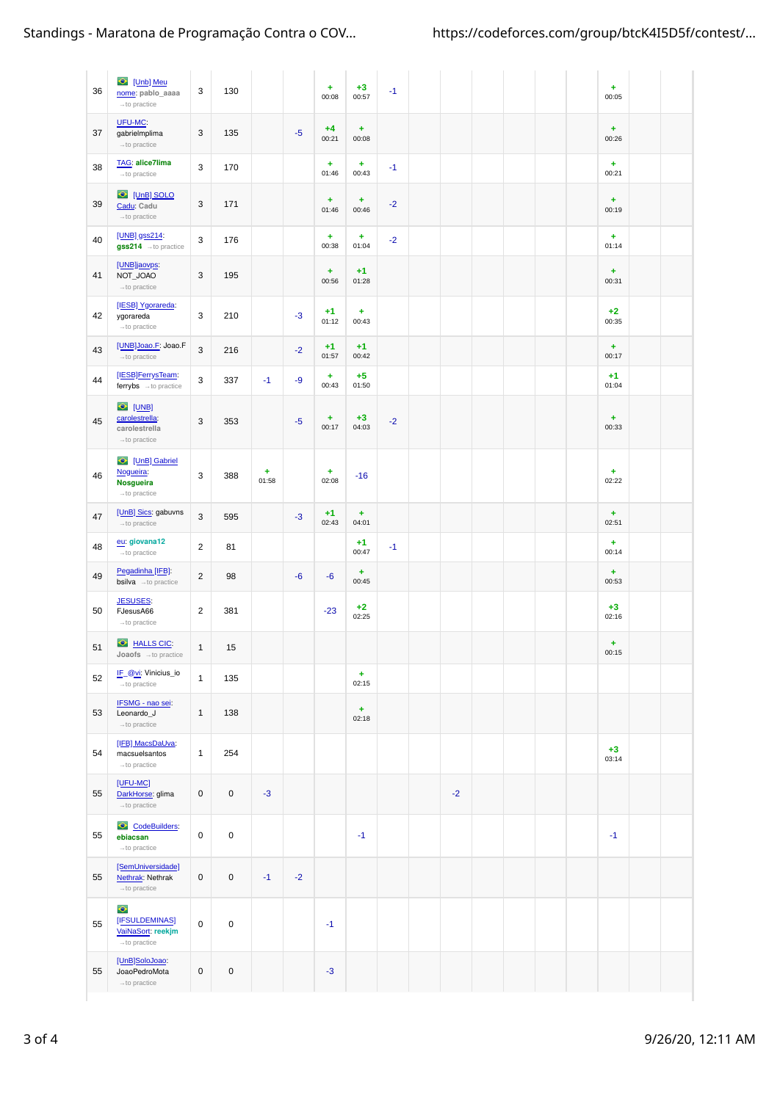| 36 | Unb] Meu<br>nome: pablo_aaaa<br>$\rightarrow$ to practice                       | 3                   | 130                 |            |      | ÷<br>00:08         | $+3$<br>00:57      | $-1$ |      |  |  | ÷<br>00:05         |  |
|----|---------------------------------------------------------------------------------|---------------------|---------------------|------------|------|--------------------|--------------------|------|------|--|--|--------------------|--|
| 37 | UFU-MC:<br>gabrielmplima<br>$\rightarrow$ to practice                           | 3                   | 135                 |            | $-5$ | $+4$<br>00:21      | ÷<br>00:08         |      |      |  |  | ÷<br>00:26         |  |
| 38 | TAG: alice7lima<br>$\rightarrow$ to practice                                    | 3                   | 170                 |            |      | $\ddot{}$<br>01:46 | ÷<br>00:43         | $-1$ |      |  |  | $\ddot{}$<br>00:21 |  |
| 39 | UnB] SOLO<br>Cadu: Cadu<br>$\rightarrow$ to practice                            | 3                   | 171                 |            |      | $\ddot{}$<br>01:46 | ÷<br>00:46         | $-2$ |      |  |  | $\ddot{}$<br>00:19 |  |
| 40 | [UNB] gss214:<br>gss214 - to practice                                           | 3                   | 176                 |            |      | ÷<br>00:38         | ÷<br>01:04         | $-2$ |      |  |  | ÷<br>01:14         |  |
| 41 | [UNB]jaovps:<br>NOT_JOAO<br>$\rightarrow$ to practice                           | 3                   | 195                 |            |      | ÷<br>00:56         | $+1$<br>01:28      |      |      |  |  | ÷<br>00:31         |  |
| 42 | [IESB] Ygorareda:<br>ygorareda<br>$\rightarrow$ to practice                     | 3                   | 210                 |            | $-3$ | $+1$<br>01:12      | ÷<br>00:43         |      |      |  |  | $+2$<br>00:35      |  |
| 43 | [UNB]Joao.F: Joao.F<br>$\rightarrow$ to practice                                | 3                   | 216                 |            | $-2$ | $+1$<br>01:57      | $+1$<br>00:42      |      |      |  |  | $\ddot{}$<br>00:17 |  |
| 44 | [IESB]FerrysTeam:<br>ferrybs - to practice                                      | 3                   | 337                 | $-1$       | $-9$ | $\ddot{}$<br>00:43 | $+5$<br>01:50      |      |      |  |  | $+1$<br>01:04      |  |
| 45 | $\bullet$ [UNB]<br>carolestrella:<br>carolestrella<br>$\rightarrow$ to practice | 3                   | 353                 |            | $-5$ | ÷<br>00:17         | $+3$<br>04:03      | $-2$ |      |  |  | ÷<br>00:33         |  |
| 46 | UnB] Gabriel<br>Nogueira:<br>Nosgueira<br>$\rightarrow$ to practice             | 3                   | 388                 | ÷<br>01:58 |      | ÷<br>02:08         | $-16$              |      |      |  |  | ÷<br>02:22         |  |
| 47 | [UnB] Sics: gabuvns<br>$\rightarrow$ to practice                                | 3                   | 595                 |            | $-3$ | $+1$<br>02:43      | ÷<br>04:01         |      |      |  |  | $\ddot{}$<br>02:51 |  |
| 48 | eu: giovana12<br>$\rightarrow$ to practice                                      | $\overline{c}$      | 81                  |            |      |                    | $+1$<br>00:47      | $-1$ |      |  |  | ÷<br>00:14         |  |
| 49 | Pegadinha [IFB]:<br><b>bsilva</b> $\rightarrow$ to practice                     | $\overline{c}$      | 98                  |            | $-6$ | $-6$               | ÷<br>00:45         |      |      |  |  | $\ddot{}$<br>00:53 |  |
| 50 | <b>JESUSES:</b><br>FJesusA66<br>$\rightarrow$ to practice                       | $\overline{c}$      | 381                 |            |      | $-23$              | $+2$<br>02:25      |      |      |  |  | $+3$<br>02:16      |  |
| 51 | HALLS CIC:<br>$Joaofs \rightarrow to \ practice$                                | $1\,$               | 15                  |            |      |                    |                    |      |      |  |  | ÷<br>00:15         |  |
| 52 | IF_@vi: Vinicius_io<br>$\rightarrow$ to practice                                | $\mathbf{1}$        | 135                 |            |      |                    | $\ddot{}$<br>02:15 |      |      |  |  |                    |  |
| 53 | IFSMG - nao sei:<br>Leonardo J<br>$\rightarrow$ to practice                     | $\mathbf{1}$        | 138                 |            |      |                    | $+$<br>02:18       |      |      |  |  |                    |  |
| 54 | [IFB] MacsDaUva:<br>macsuelsantos<br>$\rightarrow$ to practice                  | $\mathbf{1}$        | 254                 |            |      |                    |                    |      |      |  |  | $+3$<br>03:14      |  |
| 55 | $[UEU-MC]$<br>DarkHorse: glima<br>$\rightarrow$ to practice                     | 0                   | $\mathsf{O}\xspace$ | $-3$       |      |                    |                    |      | $-2$ |  |  |                    |  |
| 55 | CodeBuilders:<br>ebiacsan<br>$\rightarrow$ to practice                          | 0                   | $\mathsf 0$         |            |      |                    | $-1$               |      |      |  |  | $-1$               |  |
| 55 | [SemUniversidade]<br>Nethrak: Nethrak<br>$\rightarrow$ to practice              | 0                   | $\pmb{0}$           | $-1$       | $-2$ |                    |                    |      |      |  |  |                    |  |
| 55 | $\bullet$<br>[IFSULDEMINAS]<br>VaiNaSort: reekjm<br>$\rightarrow$ to practice   | $\mathbf 0$         | $\pmb{0}$           |            |      | $-1$               |                    |      |      |  |  |                    |  |
| 55 | [UnB]SoloJoao:<br>JoaoPedroMota<br>$\rightarrow$ to practice                    | $\mathsf{O}\xspace$ | $\mathsf 0$         |            |      | $-3$               |                    |      |      |  |  |                    |  |